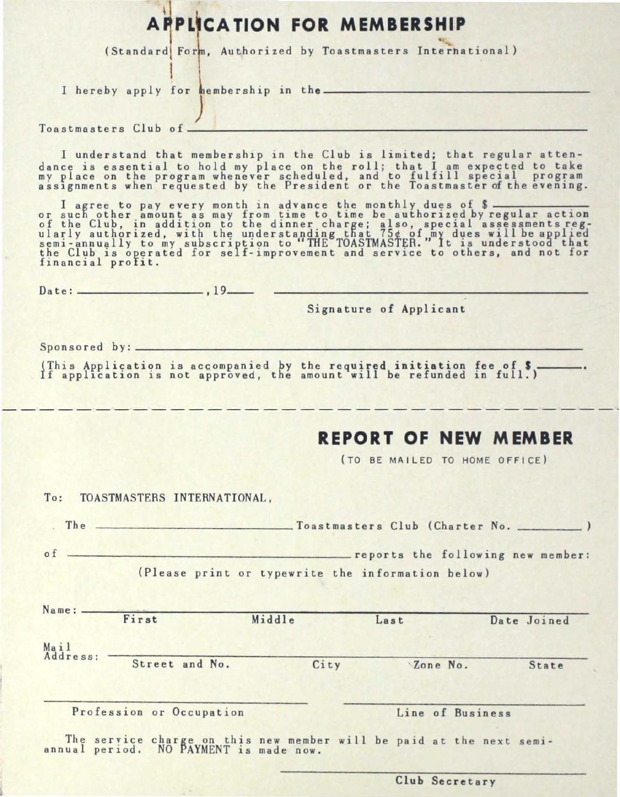## **APPLICATION FOR MEMBERSHIP**

(Standard Form, Authorized by Toastmasters Interhational)

I hereby apply for hembership in *)*  the------------------------------------------

Toast masters Club of ---------------------------------

I understand that membership in the Club is limited; that regular attendance is essential to hold my place on the roll; that I am expected to take dance is essential to hold my place on the roll; that I am expected to take<br>my place on the program whenever scheduled, and to fulfill special program assignments when requested by the President or the Toastmaster of the evening.

assignments when requested by the President or the loastmaster of the evening.<br>I agree to pay every month in advance the monthly dues of \$<br>or such other amount as may from time to time be authorized by regular action of the Club, in addition to the dinner charge; also, special assessments regularly authorized, with the understanding that 75¢ of my dues will be applied<br>semi-annually to my subscription to "THE TOASTMASTER." It is understood that the Club is operated for self-improvement and service to others, and not for the Club is opera

Date : ------------------ , 19--

Signature of Applicant

Sponsored by:

(This Appli~atiqn is acc.ompanied by the required initiation fee of S ------ lf appl1cat1on 1s not approved, the amount will be refunded in full.)

## **REPORT OF NEW MEMBER**

(TO BE MAILED TO HOME OFFICE)

To: TOASTMASTERS INTERNATIONAL,

The  $\sim$  Toastmasters Club (Charter No.  $\sim$ 

of **contract and the following new member:** (Please print or typewrite the information below)

| Name: -          | First                    | Middle | Last             | Date Joined |
|------------------|--------------------------|--------|------------------|-------------|
| Mail<br>Address: |                          |        |                  |             |
|                  | Street and No.           | City   | Zone No.         | State       |
|                  | Profession or Occupation |        | Line of Business |             |

Club Secretary